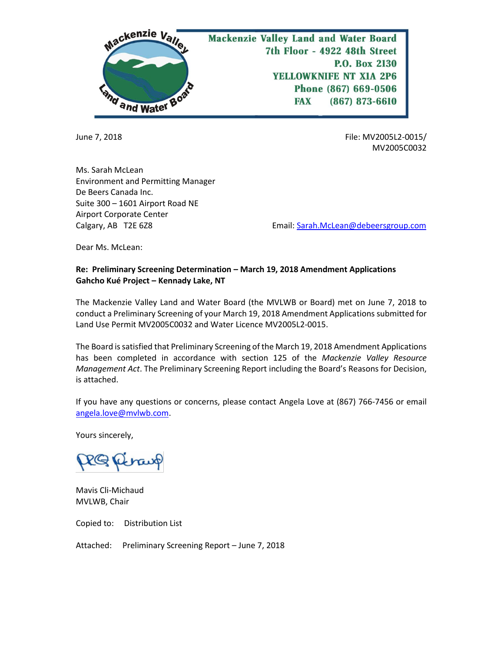

June 7, 2018 File: MV2005L2-0015/ MV2005C0032

Ms. Sarah McLean Environment and Permitting Manager De Beers Canada Inc. Suite 300 – 1601 Airport Road NE Airport Corporate Center

Calgary, AB T2E 6Z8 Email[: Sarah.McLean@debeersgroup.com](mailto:Sarah.McLean@debeersgroup.com)

Dear Ms. McLean:

# **Re: Preliminary Screening Determination – March 19, 2018 Amendment Applications Gahcho Kué Project – Kennady Lake, NT**

The Mackenzie Valley Land and Water Board (the MVLWB or Board) met on June 7, 2018 to conduct a Preliminary Screening of your March 19, 2018 Amendment Applications submitted for Land Use Permit MV2005C0032 and Water Licence MV2005L2-0015.

The Board is satisfied that Preliminary Screening of the March 19, 2018 Amendment Applications has been completed in accordance with section 125 of the *Mackenzie Valley Resource Management Act*. The Preliminary Screening Report including the Board's Reasons for Decision, is attached.

If you have any questions or concerns, please contact Angela Love at (867) 766-7456 or email [angela.love@mvlwb.com.](mailto:angela.love@mvlwb.com)

Yours sincerely,

PRG Riraup

Mavis Cli-Michaud MVLWB, Chair

Copied to: Distribution List

Attached: Preliminary Screening Report – June 7, 2018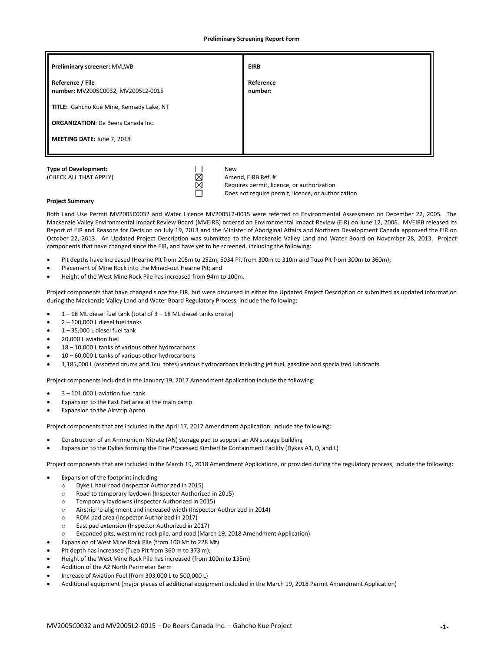**Preliminary Screening Report Form**

| Preliminary screener: MVLWB                            | <b>EIRB</b>          |
|--------------------------------------------------------|----------------------|
| Reference / File<br>number: MV2005C0032, MV2005L2-0015 | Reference<br>number: |
| TITLE: Gahcho Kué Mine, Kennady Lake, NT               |                      |
| <b>ORGANIZATION:</b> De Beers Canada Inc.              |                      |
| MEETING DATE: June 7, 2018                             |                      |
|                                                        |                      |

(CHECK ALL THAT APPLY)  $\boxtimes$  Amend, EIRB Ref. #

Requires permit, licence, or authorization Does not require permit, licence, or authorization

### **Project Summary**

Both Land Use Permit MV2005C0032 and Water Licence MV2005L2-0015 were referred to Environmental Assessment on December 22, 2005. The Mackenzie Valley Environmental Impact Review Board (MVEIRB) ordered an Environmental Impact Review (EIR) on June 12, 2006. MVEIRB released its Report of EIR and Reasons for Decision on July 19, 2013 and the Minister of Aboriginal Affairs and Northern Development Canada approved the EIR on October 22, 2013. An Updated Project Description was submitted to the Mackenzie Valley Land and Water Board on November 28, 2013. Project components that have changed since the EIR, and have yet to be screened, including the following:

- Pit depths have increased (Hearne Pit from 205m to 252m, 5034 Pit from 300m to 310m and Tuzo Pit from 300m to 360m);
- Placement of Mine Rock into the Mined-out Hearne Pit; and
- Height of the West Mine Rock Pile has increased from 94m to 100m.

Project components that have changed since the EIR, but were discussed in either the Updated Project Description or submitted as updated information during the Mackenzie Valley Land and Water Board Regulatory Process, include the following:

- $\bullet$  1 18 ML diesel fuel tank (total of 3 18 ML diesel tanks onsite)
- $2 100,000$  L diesel fuel tanks
- $1 35,000$  L diesel fuel tank
- 20,000 L aviation fuel
- 18 10,000 L tanks of various other hydrocarbons
- 10 60,000 L tanks of various other hydrocarbons
- 1,185,000 L (assorted drums and 1cu. totes) various hydrocarbons including jet fuel, gasoline and specialized lubricants

Project components included in the January 19, 2017 Amendment Application include the following:

- $3 101,000$  L aviation fuel tank
- Expansion to the East Pad area at the main camp
- Expansion to the Airstrip Apron

Project components that are included in the April 17, 2017 Amendment Application, include the following:

- Construction of an Ammonium Nitrate (AN) storage pad to support an AN storage building
- Expansion to the Dykes forming the Fine Processed Kimberlite Containment Facility (Dykes A1, D, and L)

Project components that are included in the March 19, 2018 Amendment Applications, or provided during the regulatory process, include the following:

- Expansion of the footprint including
	- o Dyke L haul road (Inspector Authorized in 2015)
	- o Road to temporary laydown (Inspector Authorized in 2015)
	- o Temporary laydowns (Inspector Authorized in 2015)
	- o Airstrip re-alignment and increased width (Inspector Authorized in 2014)
	- o ROM pad area (Inspector Authorized in 2017)
	- o East pad extension (Inspector Authorized in 2017)
	- Expanded pits, west mine rock pile, and road (March 19, 2018 Amendment Application)
- Expansion of West Mine Rock Pile (from 100 Mt to 228 Mt)
- Pit depth has increased (Tuzo Pit from 360 m to 373 m);
- Height of the West Mine Rock Pile has increased (from 100m to 135m)
- Addition of the A2 North Perimeter Berm
- Increase of Aviation Fuel (from 303,000 L to 500,000 L)
- Additional equipment (major pieces of additional equipment included in the March 19, 2018 Permit Amendment Application)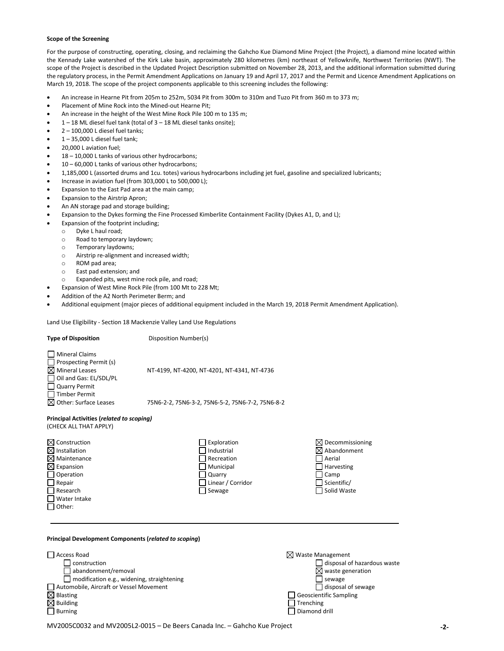### **Scope of the Screening**

For the purpose of constructing, operating, closing, and reclaiming the Gahcho Kue Diamond Mine Project (the Project), a diamond mine located within the Kennady Lake watershed of the Kirk Lake basin, approximately 280 kilometres (km) northeast of Yellowknife, Northwest Territories (NWT). The scope of the Project is described in the Updated Project Description submitted on November 28, 2013, and the additional information submitted during the regulatory process, in the Permit Amendment Applications on January 19 and April 17, 2017 and the Permit and Licence Amendment Applications on March 19, 2018. The scope of the project components applicable to this screening includes the following:

- An increase in Hearne Pit from 205m to 252m, 5034 Pit from 300m to 310m and Tuzo Pit from 360 m to 373 m;
- Placement of Mine Rock into the Mined-out Hearne Pit;
- An increase in the height of the West Mine Rock Pile 100 m to 135 m;
- $1 18$  ML diesel fuel tank (total of  $3 18$  ML diesel tanks onsite);
- $2 100,000$  L diesel fuel tanks;
- 1 35,000 L diesel fuel tank;
- 20,000 L aviation fuel;
- 18 10,000 L tanks of various other hydrocarbons;
- 10 60,000 L tanks of various other hydrocarbons;
- 1,185,000 L (assorted drums and 1cu. totes) various hydrocarbons including jet fuel, gasoline and specialized lubricants;
- Increase in aviation fuel (from 303,000 L to 500,000 L);
- Expansion to the East Pad area at the main camp;
- Expansion to the Airstrip Apron;
- An AN storage pad and storage building;
- Expansion to the Dykes forming the Fine Processed Kimberlite Containment Facility (Dykes A1, D, and L);
- Expansion of the footprint including;
	- o Dyke L haul road;
	- o Road to temporary laydown;
	- o Temporary laydowns;
	- o Airstrip re-alignment and increased width;
	- o ROM pad area;
	- o East pad extension; and
	- o Expanded pits, west mine rock pile, and road;
- Expansion of West Mine Rock Pile (from 100 Mt to 228 Mt;
- Addition of the A2 North Perimeter Berm; and
- Additional equipment (major pieces of additional equipment included in the March 19, 2018 Permit Amendment Application).

Land Use Eligibility - Section 18 Mackenzie Valley Land Use Regulations

| <b>Type of Disposition</b>                                                                                                                                                                                           | Disposition Number(s)                                                                           |                                                                                                                                                                                |
|----------------------------------------------------------------------------------------------------------------------------------------------------------------------------------------------------------------------|-------------------------------------------------------------------------------------------------|--------------------------------------------------------------------------------------------------------------------------------------------------------------------------------|
| <b>Mineral Claims</b><br>Prospecting Permit (s)<br><b>Mineral Leases</b><br>Oil and Gas: EL/SDL/PL<br><b>Quarry Permit</b><br><b>Timber Permit</b><br>Other: Surface Leases<br>⋈                                     | NT-4199, NT-4200, NT-4201, NT-4341, NT-4736<br>75N6-2-2, 75N6-3-2, 75N6-5-2, 75N6-7-2, 75N6-8-2 |                                                                                                                                                                                |
| <b>Principal Activities (related to scoping)</b><br>(CHECK ALL THAT APPLY)                                                                                                                                           |                                                                                                 |                                                                                                                                                                                |
| $\boxtimes$ Construction<br>Installation<br>⋈<br>Maintenance<br>⋈<br>$\boxtimes$ Expansion<br>Operation<br>Repair<br>Research<br>Water Intake<br>Other:                                                              | Exploration<br>Industrial<br>Recreation<br>Municipal<br>Quarry<br>Linear / Corridor<br>Sewage   | $\boxtimes$ Decommissioning<br>Abandonment<br>Aerial<br>Harvesting<br>Camp<br>Scientific/<br>Solid Waste                                                                       |
| Principal Development Components (related to scoping)                                                                                                                                                                |                                                                                                 |                                                                                                                                                                                |
| <b>Access Road</b><br>construction<br>abandonment/removal<br>modification e.g., widening, straightening<br>Automobile, Aircraft or Vessel Movement<br>$\boxtimes$ Blasting<br><b>Building</b><br>⊠<br><b>Burning</b> |                                                                                                 | $\boxtimes$ Waste Management<br>disposal of hazardous waste<br>waste generation<br>sewage<br>disposal of sewage<br><b>Geoscientific Sampling</b><br>Trenching<br>Diamond drill |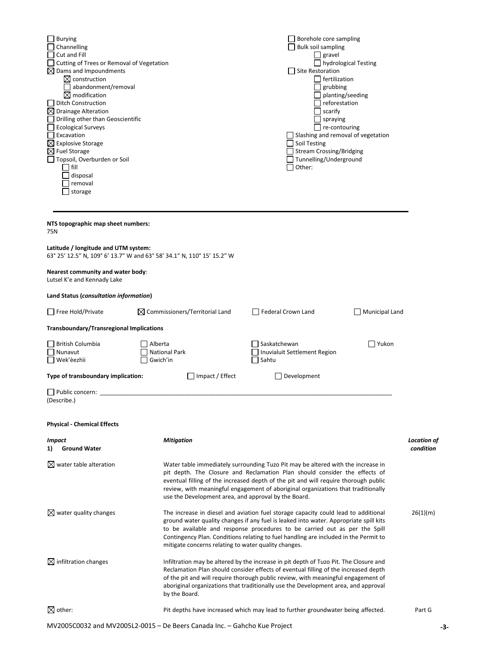| <b>Burying</b><br>Channelling                                                  |                                                                        | Borehole core sampling<br><b>Bulk soil sampling</b>                                                                                                                                                                                                                                                                                                     |                       |                          |
|--------------------------------------------------------------------------------|------------------------------------------------------------------------|---------------------------------------------------------------------------------------------------------------------------------------------------------------------------------------------------------------------------------------------------------------------------------------------------------------------------------------------------------|-----------------------|--------------------------|
| Cut and Fill                                                                   |                                                                        | $\Box$ gravel                                                                                                                                                                                                                                                                                                                                           |                       |                          |
| Cutting of Trees or Removal of Vegetation<br>$\boxtimes$ Dams and Impoundments |                                                                        | $\Box$ hydrological Testing<br>Site Restoration                                                                                                                                                                                                                                                                                                         |                       |                          |
| $\boxtimes$ construction                                                       |                                                                        | $\Box$ fertilization                                                                                                                                                                                                                                                                                                                                    |                       |                          |
| abandonment/removal                                                            |                                                                        | grubbing                                                                                                                                                                                                                                                                                                                                                |                       |                          |
| $\boxtimes$ modification<br><b>Ditch Construction</b>                          |                                                                        | reforestation                                                                                                                                                                                                                                                                                                                                           | planting/seeding      |                          |
| $\boxtimes$ Drainage Alteration                                                |                                                                        | $\overline{\phantom{a}}$ scarify                                                                                                                                                                                                                                                                                                                        |                       |                          |
| Drilling other than Geoscientific                                              |                                                                        | $\Box$ spraying                                                                                                                                                                                                                                                                                                                                         |                       |                          |
| <b>Ecological Surveys</b><br>Excavation                                        |                                                                        | $\Box$ re-contouring<br>Slashing and removal of vegetation                                                                                                                                                                                                                                                                                              |                       |                          |
| $\boxtimes$ Explosive Storage                                                  |                                                                        | $\Box$ Soil Testing                                                                                                                                                                                                                                                                                                                                     |                       |                          |
| $\boxtimes$ Fuel Storage                                                       |                                                                        | Stream Crossing/Bridging                                                                                                                                                                                                                                                                                                                                |                       |                          |
| Topsoil, Overburden or Soil<br>fill                                            |                                                                        | Tunnelling/Underground<br>Other:                                                                                                                                                                                                                                                                                                                        |                       |                          |
| disposal                                                                       |                                                                        |                                                                                                                                                                                                                                                                                                                                                         |                       |                          |
| removal                                                                        |                                                                        |                                                                                                                                                                                                                                                                                                                                                         |                       |                          |
| storage                                                                        |                                                                        |                                                                                                                                                                                                                                                                                                                                                         |                       |                          |
|                                                                                |                                                                        |                                                                                                                                                                                                                                                                                                                                                         |                       |                          |
| NTS topographic map sheet numbers:<br>75N                                      |                                                                        |                                                                                                                                                                                                                                                                                                                                                         |                       |                          |
| Latitude / longitude and UTM system:                                           | 63° 25' 12.5" N, 109° 6' 13.7" W and 63° 58' 34.1" N, 110° 15' 15.2" W |                                                                                                                                                                                                                                                                                                                                                         |                       |                          |
| Nearest community and water body:<br>Lutsel K'e and Kennady Lake               |                                                                        |                                                                                                                                                                                                                                                                                                                                                         |                       |                          |
| Land Status (consultation information)                                         |                                                                        |                                                                                                                                                                                                                                                                                                                                                         |                       |                          |
| $\Box$ Free Hold/Private                                                       | $\boxtimes$ Commissioners/Territorial Land                             | Federal Crown Land                                                                                                                                                                                                                                                                                                                                      | <b>Municipal Land</b> |                          |
| <b>Transboundary/Transregional Implications</b>                                |                                                                        |                                                                                                                                                                                                                                                                                                                                                         |                       |                          |
| <b>British Columbia</b>                                                        | Alberta                                                                | Saskatchewan                                                                                                                                                                                                                                                                                                                                            | Yukon                 |                          |
| Nunavut                                                                        | <b>National Park</b>                                                   | Inuvialuit Settlement Region                                                                                                                                                                                                                                                                                                                            |                       |                          |
| Wek'èezhìi                                                                     | Gwich'in                                                               | Sahtu                                                                                                                                                                                                                                                                                                                                                   |                       |                          |
| Type of transboundary implication:                                             | $\Box$ Impact / Effect                                                 | Development                                                                                                                                                                                                                                                                                                                                             |                       |                          |
| Public concern:<br>(Describe.)                                                 |                                                                        |                                                                                                                                                                                                                                                                                                                                                         |                       |                          |
| <b>Physical - Chemical Effects</b>                                             |                                                                        |                                                                                                                                                                                                                                                                                                                                                         |                       |                          |
| <i>Impact</i><br><b>Ground Water</b><br>1)                                     | <b>Mitigation</b>                                                      |                                                                                                                                                                                                                                                                                                                                                         |                       | Location of<br>condition |
| $\boxtimes$ water table alteration                                             | use the Development area, and approval by the Board.                   | Water table immediately surrounding Tuzo Pit may be altered with the increase in<br>pit depth. The Closure and Reclamation Plan should consider the effects of<br>eventual filling of the increased depth of the pit and will require thorough public<br>review, with meaningful engagement of aboriginal organizations that traditionally              |                       |                          |
| $\boxtimes$ water quality changes                                              | mitigate concerns relating to water quality changes.                   | The increase in diesel and aviation fuel storage capacity could lead to additional<br>ground water quality changes if any fuel is leaked into water. Appropriate spill kits<br>to be available and response procedures to be carried out as per the Spill<br>Contingency Plan. Conditions relating to fuel handling are included in the Permit to       |                       | 26(1)(m)                 |
| $\boxtimes$ infiltration changes                                               | by the Board.                                                          | Infiltration may be altered by the increase in pit depth of Tuzo Pit. The Closure and<br>Reclamation Plan should consider effects of eventual filling of the increased depth<br>of the pit and will require thorough public review, with meaningful engagement of<br>aboriginal organizations that traditionally use the Development area, and approval |                       |                          |
| $\boxtimes$ other:                                                             |                                                                        | Pit depths have increased which may lead to further groundwater being affected.                                                                                                                                                                                                                                                                         |                       | Part G                   |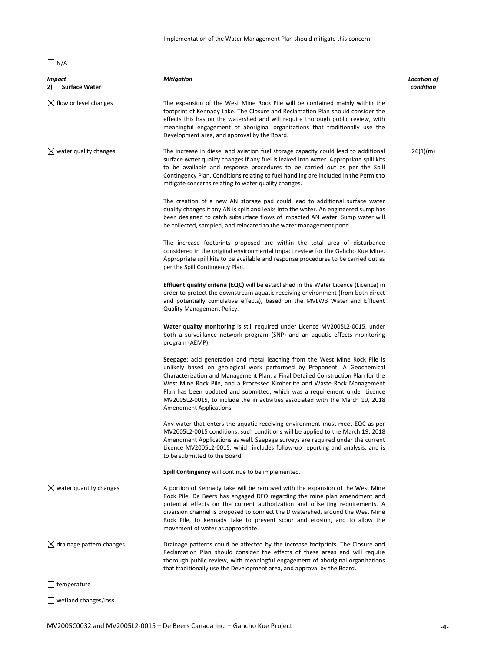Implementation of the Water Management Plan should mitigate this concern.

# $\Box$  N/A

| <i>Impact</i><br>2)<br><b>Surface Water</b> | <b>Mitigation</b>                                                                                                                                                                                                                                                                                                                                                                                                                                                                                                  | Location of<br>condition |
|---------------------------------------------|--------------------------------------------------------------------------------------------------------------------------------------------------------------------------------------------------------------------------------------------------------------------------------------------------------------------------------------------------------------------------------------------------------------------------------------------------------------------------------------------------------------------|--------------------------|
| $\boxtimes$ flow or level changes           | The expansion of the West Mine Rock Pile will be contained mainly within the<br>footprint of Kennady Lake. The Closure and Reclamation Plan should consider the<br>effects this has on the watershed and will require thorough public review, with<br>meaningful engagement of aboriginal organizations that traditionally use the<br>Development area, and approval by the Board.                                                                                                                                 |                          |
| $\boxtimes$ water quality changes           | The increase in diesel and aviation fuel storage capacity could lead to additional<br>surface water quality changes if any fuel is leaked into water. Appropriate spill kits<br>to be available and response procedures to be carried out as per the Spill<br>Contingency Plan. Conditions relating to fuel handling are included in the Permit to<br>mitigate concerns relating to water quality changes.                                                                                                         | 26(1)(m)                 |
|                                             | The creation of a new AN storage pad could lead to additional surface water<br>quality changes if any AN is spilt and leaks into the water. An engineered sump has<br>been designed to catch subsurface flows of impacted AN water. Sump water will<br>be collected, sampled, and relocated to the water management pond.                                                                                                                                                                                          |                          |
|                                             | The increase footprints proposed are within the total area of disturbance<br>considered in the original environmental impact review for the Gahcho Kue Mine.<br>Appropriate spill kits to be available and response procedures to be carried out as<br>per the Spill Contingency Plan.                                                                                                                                                                                                                             |                          |
|                                             | <b>Effluent quality criteria (EQC)</b> will be established in the Water Licence (Licence) in<br>order to protect the downstream aquatic receiving environment (from both direct<br>and potentially cumulative effects), based on the MVLWB Water and Effluent<br><b>Quality Management Policy.</b>                                                                                                                                                                                                                 |                          |
|                                             | Water quality monitoring is still required under Licence MV2005L2-0015, under<br>both a surveillance network program (SNP) and an aquatic effects monitoring<br>program (AEMP).                                                                                                                                                                                                                                                                                                                                    |                          |
|                                             | Seepage: acid generation and metal leaching from the West Mine Rock Pile is<br>unlikely based on geological work performed by Proponent. A Geochemical<br>Characterization and Management Plan, a Final Detailed Construction Plan for the<br>West Mine Rock Pile, and a Processed Kimberlite and Waste Rock Management<br>Plan has been updated and submitted, which was a requirement under Licence<br>MV2005L2-0015, to include the in activities associated with the March 19, 2018<br>Amendment Applications. |                          |
|                                             | Any water that enters the aquatic receiving environment must meet EQC as per<br>MV2005L2-0015 conditions; such conditions will be applied to the March 19, 2018<br>Amendment Applications as well. Seepage surveys are required under the current<br>Licence MV2005L2-0015, which includes follow-up reporting and analysis, and is<br>to be submitted to the Board.                                                                                                                                               |                          |
|                                             | Spill Contingency will continue to be implemented.                                                                                                                                                                                                                                                                                                                                                                                                                                                                 |                          |
| $\boxtimes$ water quantity changes          | A portion of Kennady Lake will be removed with the expansion of the West Mine<br>Rock Pile. De Beers has engaged DFO regarding the mine plan amendment and<br>potential effects on the current authorization and offsetting requirements. A<br>diversion channel is proposed to connect the D watershed, around the West Mine<br>Rock Pile, to Kennady Lake to prevent scour and erosion, and to allow the<br>movement of water as appropriate.                                                                    |                          |
| $\boxtimes$ drainage pattern changes        | Drainage patterns could be affected by the increase footprints. The Closure and<br>Reclamation Plan should consider the effects of these areas and will require<br>thorough public review, with meaningful engagement of aboriginal organizations<br>that traditionally use the Development area, and approval by the Board.                                                                                                                                                                                       |                          |
| $\Box$ temperature                          |                                                                                                                                                                                                                                                                                                                                                                                                                                                                                                                    |                          |
| $\Box$ wetland changes/loss                 |                                                                                                                                                                                                                                                                                                                                                                                                                                                                                                                    |                          |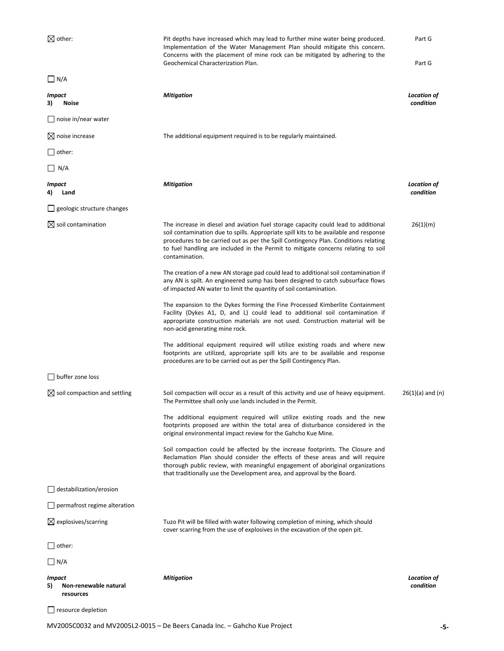$\boxtimes$  other:  $\blacksquare$  Pit depths have increased which may lead to further mine water being produced. Implementation of the Water Management Plan should mitigate this concern. Concerns with the placement of mine rock can be mitigated by adhering to the Geochemical Characterization Plan. Part G Part G  $\Box$  N/A *Impact* **3) Noise** *Mitigation Location of condition* □ noise in/near water  $\boxtimes$  noise increase  $\boxtimes$  The additional equipment required is to be regularly maintained.  $\Box$  other:  $\Box$  N/A *Impact* **4) Land** *Mitigation Location of condition* geologic structure changes  $\boxtimes$  soil contamination  $\blacksquare$  The increase in diesel and aviation fuel storage capacity could lead to additional soil contamination due to spills. Appropriate spill kits to be available and response procedures to be carried out as per the Spill Contingency Plan. Conditions relating to fuel handling are included in the Permit to mitigate concerns relating to soil contamination. The creation of a new AN storage pad could lead to additional soil contamination if any AN is spilt. An engineered sump has been designed to catch subsurface flows of impacted AN water to limit the quantity of soil contamination. The expansion to the Dykes forming the Fine Processed Kimberlite Containment Facility (Dykes A1, D, and L) could lead to additional soil contamination if appropriate construction materials are not used. Construction material will be non-acid generating mine rock. The additional equipment required will utilize existing roads and where new footprints are utilized, appropriate spill kits are to be available and response procedures are to be carried out as per the Spill Contingency Plan. 26(1)(m)  $\Box$  buffer zone loss  $\boxtimes$  soil compaction and settling Soil compaction will occur as a result of this activity and use of heavy equipment. The Permittee shall only use lands included in the Permit. The additional equipment required will utilize existing roads and the new footprints proposed are within the total area of disturbance considered in the original environmental impact review for the Gahcho Kue Mine. Soil compaction could be affected by the increase footprints. The Closure and Reclamation Plan should consider the effects of these areas and will require thorough public review, with meaningful engagement of aboriginal organizations that traditionally use the Development area, and approval by the Board. 26(1)(a) and (n)  $\Box$  destabilization/erosion permafrost regime alteration  $\boxtimes$  explosives/scarring Tuzo Pit will be filled with water following completion of mining, which should cover scarring from the use of explosives in the excavation of the open pit.  $\Box$  other:  $\Box$  N/A *Impact* **5) Non-renewable natural resources** *Mitigation Location of condition* □ resource depletion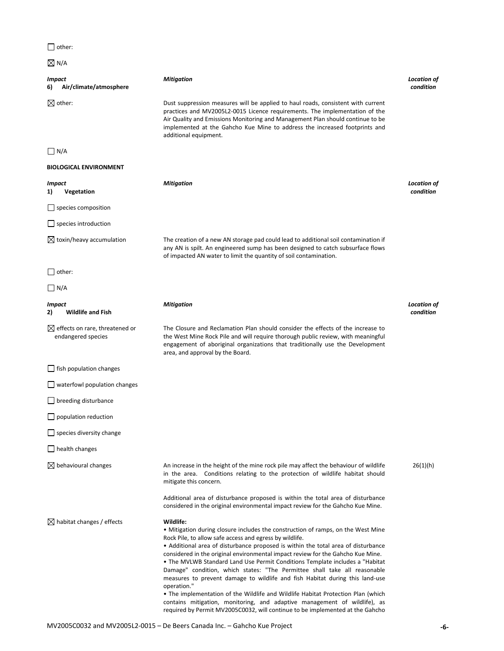| $\Box$ other:                                 |          |
|-----------------------------------------------|----------|
| $\boxtimes$ N/A                               |          |
| <b>Impact</b><br>Air/climate/atmosphere<br>6) | м        |
| $\boxtimes$ other:                            | D١       |
|                                               | pr<br>Ai |
|                                               |          |

*Mitigation Location of condition*

ust suppression measures will be applied to haul roads, consistent with current ractices and MV2005L2-0015 Licence requirements. The implementation of the ir Quality and Emissions Monitoring and Management Plan should continue to be implemented at the Gahcho Kue Mine to address the increased footprints and additional equipment.

## $\Box$  N/A

| <b>BIOLOGICAL ENVIRONMENT</b>                                    |                                                                                                                                                                                                                                                                                          |                                 |
|------------------------------------------------------------------|------------------------------------------------------------------------------------------------------------------------------------------------------------------------------------------------------------------------------------------------------------------------------------------|---------------------------------|
| <b>Impact</b><br>Vegetation<br>1)                                | <b>Mitigation</b>                                                                                                                                                                                                                                                                        | <b>Location of</b><br>condition |
| $\Box$ species composition                                       |                                                                                                                                                                                                                                                                                          |                                 |
| $\Box$ species introduction                                      |                                                                                                                                                                                                                                                                                          |                                 |
| $\boxtimes$ toxin/heavy accumulation                             | The creation of a new AN storage pad could lead to additional soil contamination if<br>any AN is spilt. An engineered sump has been designed to catch subsurface flows<br>of impacted AN water to limit the quantity of soil contamination.                                              |                                 |
| $\bigsqcup$ other:                                               |                                                                                                                                                                                                                                                                                          |                                 |
| $\Box$ N/A                                                       |                                                                                                                                                                                                                                                                                          |                                 |
| Impact<br><b>Wildlife and Fish</b><br>2)                         | <b>Mitigation</b>                                                                                                                                                                                                                                                                        | <b>Location of</b><br>condition |
| $\boxtimes$ effects on rare, threatened or<br>endangered species | The Closure and Reclamation Plan should consider the effects of the increase to<br>the West Mine Rock Pile and will require thorough public review, with meaningful<br>engagement of aboriginal organizations that traditionally use the Development<br>area, and approval by the Board. |                                 |
| $\Box$ fish population changes                                   |                                                                                                                                                                                                                                                                                          |                                 |
| $\Box$ waterfowl population changes                              |                                                                                                                                                                                                                                                                                          |                                 |
| $\Box$ breeding disturbance                                      |                                                                                                                                                                                                                                                                                          |                                 |
| $\Box$ population reduction                                      |                                                                                                                                                                                                                                                                                          |                                 |
| $\Box$ species diversity change                                  |                                                                                                                                                                                                                                                                                          |                                 |
| $\Box$ health changes                                            |                                                                                                                                                                                                                                                                                          |                                 |
| $\boxtimes$ behavioural changes                                  | An increase in the height of the mine rock pile may affect the behaviour of wildlife<br>in the area. Conditions relating to the protection of wildlife habitat should<br>mitigate this concern.                                                                                          | 26(1)(h)                        |
|                                                                  | Additional area of disturbance proposed is within the total area of disturbance<br>considered in the original environmental impact review for the Gahcho Kue Mine.                                                                                                                       |                                 |
| $\boxtimes$ habitat changes / effects                            | Wildlife:<br>• Mitigation during closure includes the construction of ramps, on the West Mine<br>Rock Pile, to allow safe access and egress by wildlife.                                                                                                                                 |                                 |

• Additional area of disturbance proposed is within the total area of disturbance considered in the original environmental impact review for the Gahcho Kue Mine. • The MVLWB Standard Land Use Permit Conditions Template includes a "Habitat Damage" condition, which states: "The Permittee shall take all reasonable measures to prevent damage to wildlife and fish Habitat during this land-use operation."

• The implementation of the Wildlife and Wildlife Habitat Protection Plan (which contains mitigation, monitoring, and adaptive management of wildlife), as required by Permit MV2005C0032, will continue to be implemented at the Gahcho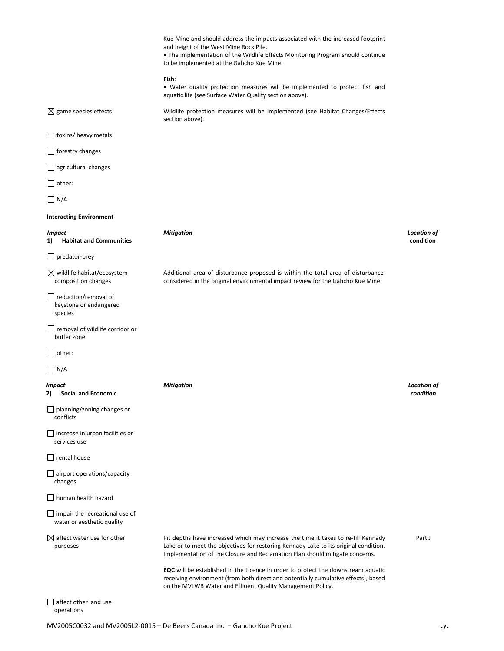|                                                                     | Kue Mine and should address the impacts associated with the increased footprint<br>and height of the West Mine Rock Pile.<br>• The implementation of the Wildlife Effects Monitoring Program should continue<br>to be implemented at the Gahcho Kue Mine. |                                 |
|---------------------------------------------------------------------|-----------------------------------------------------------------------------------------------------------------------------------------------------------------------------------------------------------------------------------------------------------|---------------------------------|
|                                                                     | Fish:<br>• Water quality protection measures will be implemented to protect fish and<br>aquatic life (see Surface Water Quality section above).                                                                                                           |                                 |
| $\boxtimes$ game species effects                                    | Wildlife protection measures will be implemented (see Habitat Changes/Effects<br>section above).                                                                                                                                                          |                                 |
| $\Box$ toxins/ heavy metals                                         |                                                                                                                                                                                                                                                           |                                 |
| $\Box$ forestry changes                                             |                                                                                                                                                                                                                                                           |                                 |
| $\Box$ agricultural changes                                         |                                                                                                                                                                                                                                                           |                                 |
| $\Box$ other:                                                       |                                                                                                                                                                                                                                                           |                                 |
| $\Box$ N/A                                                          |                                                                                                                                                                                                                                                           |                                 |
| <b>Interacting Environment</b>                                      |                                                                                                                                                                                                                                                           |                                 |
| <b>Impact</b><br><b>Habitat and Communities</b><br>1)               | <b>Mitigation</b>                                                                                                                                                                                                                                         | <b>Location of</b><br>condition |
| $\Box$ predator-prey                                                |                                                                                                                                                                                                                                                           |                                 |
| $\boxtimes$ wildlife habitat/ecosystem<br>composition changes       | Additional area of disturbance proposed is within the total area of disturbance<br>considered in the original environmental impact review for the Gahcho Kue Mine.                                                                                        |                                 |
| $\Box$ reduction/removal of<br>keystone or endangered<br>species    |                                                                                                                                                                                                                                                           |                                 |
| $\Box$ removal of wildlife corridor or<br>buffer zone               |                                                                                                                                                                                                                                                           |                                 |
| $\bigsqcup$ other:                                                  |                                                                                                                                                                                                                                                           |                                 |
| $\Box$ N/A                                                          |                                                                                                                                                                                                                                                           |                                 |
| Impact<br>2)<br><b>Social and Economic</b>                          | <b>Mitigation</b>                                                                                                                                                                                                                                         | <b>Location of</b><br>condition |
| $\Box$ planning/zoning changes or<br>conflicts                      |                                                                                                                                                                                                                                                           |                                 |
| $\Box$ increase in urban facilities or<br>services use              |                                                                                                                                                                                                                                                           |                                 |
| $\Box$ rental house                                                 |                                                                                                                                                                                                                                                           |                                 |
| $\Box$ airport operations/capacity<br>changes                       |                                                                                                                                                                                                                                                           |                                 |
| human health hazard                                                 |                                                                                                                                                                                                                                                           |                                 |
| $\Box$ impair the recreational use of<br>water or aesthetic quality |                                                                                                                                                                                                                                                           |                                 |
| $\boxtimes$ affect water use for other<br>purposes                  | Pit depths have increased which may increase the time it takes to re-fill Kennady<br>Lake or to meet the objectives for restoring Kennady Lake to its original condition.<br>Implementation of the Closure and Reclamation Plan should mitigate concerns. | Part J                          |
|                                                                     | <b>EQC</b> will be established in the Licence in order to protect the downstream aquatic<br>receiving environment (from both direct and potentially cumulative effects), based<br>on the MVLWB Water and Effluent Quality Management Policy.              |                                 |
| affect other land use                                               |                                                                                                                                                                                                                                                           |                                 |

operations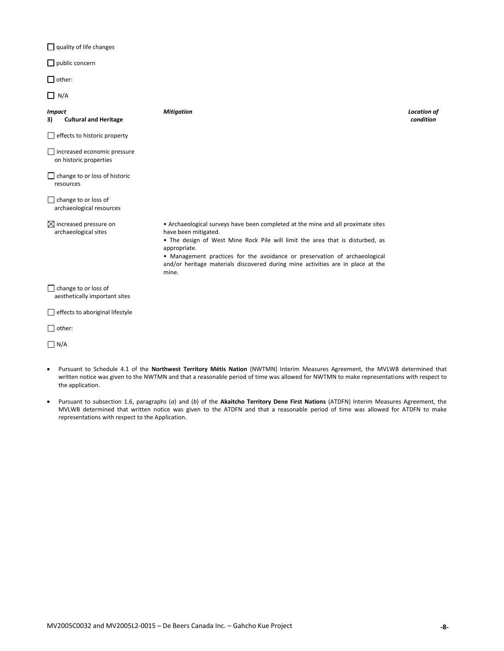$\Box$  quality of life changes

public concern

 $\Box$  other:

 $\Box$  N/A

| <i>Impact</i><br><b>Cultural and Heritage</b><br>3)          | <b>Mitigation</b>                                                                                                                                                                                                                                                                                                                                                                   | <b>Location of</b><br>condition |
|--------------------------------------------------------------|-------------------------------------------------------------------------------------------------------------------------------------------------------------------------------------------------------------------------------------------------------------------------------------------------------------------------------------------------------------------------------------|---------------------------------|
| effects to historic property<br>$\mathsf{L}$                 |                                                                                                                                                                                                                                                                                                                                                                                     |                                 |
| $\Box$ increased economic pressure<br>on historic properties |                                                                                                                                                                                                                                                                                                                                                                                     |                                 |
| change to or loss of historic<br>resources                   |                                                                                                                                                                                                                                                                                                                                                                                     |                                 |
| $\Box$ change to or loss of<br>archaeological resources      |                                                                                                                                                                                                                                                                                                                                                                                     |                                 |
| $\boxtimes$ increased pressure on<br>archaeological sites    | • Archaeological surveys have been completed at the mine and all proximate sites<br>have been mitigated.<br>• The design of West Mine Rock Pile will limit the area that is disturbed, as<br>appropriate.<br>• Management practices for the avoidance or preservation of archaeological<br>and/or heritage materials discovered during mine activities are in place at the<br>mine. |                                 |
| $\Box$ change to or loss of<br>aesthetically important sites |                                                                                                                                                                                                                                                                                                                                                                                     |                                 |
| effects to aboriginal lifestyle                              |                                                                                                                                                                                                                                                                                                                                                                                     |                                 |
| other:                                                       |                                                                                                                                                                                                                                                                                                                                                                                     |                                 |

 $\Box$  N/A

- Pursuant to Schedule 4.1 of the **Northwest Territory Métis Nation** (NWTMN) Interim Measures Agreement, the MVLWB determined that written notice was given to the NWTMN and that a reasonable period of time was allowed for NWTMN to make representations with respect to the application.
- Pursuant to subsection 1.6, paragraphs (*a*) and (*b*) of the **Akaitcho Territory Dene First Nations** (ATDFN) Interim Measures Agreement, the MVLWB determined that written notice was given to the ATDFN and that a reasonable period of time was allowed for ATDFN to make representations with respect to the Application.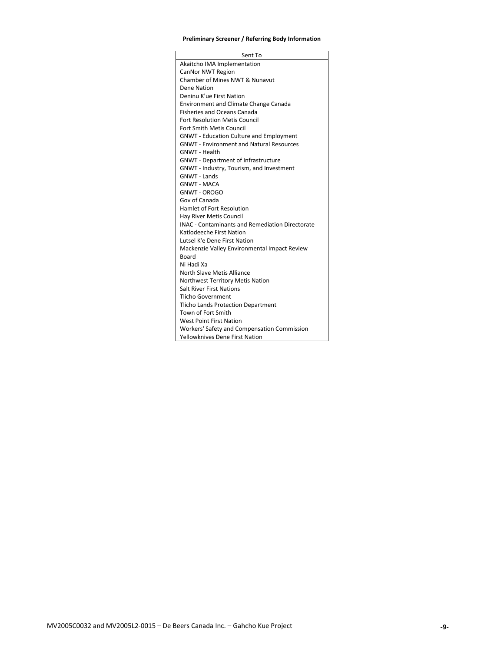## **Preliminary Screener / Referring Body Information**

| Sent To                                                             |
|---------------------------------------------------------------------|
| Akaitcho IMA Implementation                                         |
| CanNor NWT Region                                                   |
| Chamber of Mines NWT & Nunavut                                      |
| Dene Nation                                                         |
| Deninu K'ue First Nation                                            |
| <b>Environment and Climate Change Canada</b>                        |
| <b>Fisheries and Oceans Canada</b>                                  |
| <b>Fort Resolution Metis Council</b>                                |
| Fort Smith Metis Council                                            |
| <b>GNWT - Education Culture and Employment</b>                      |
| <b>GNWT - Environment and Natural Resources</b>                     |
| <b>GNWT - Health</b>                                                |
| <b>GNWT</b> - Department of Infrastructure                          |
| GNWT - Industry, Tourism, and Investment                            |
| <b>GNWT - Lands</b>                                                 |
| <b>GNWT - MACA</b>                                                  |
| <b>GNWT - OROGO</b>                                                 |
| Gov of Canada                                                       |
| Hamlet of Fort Resolution                                           |
| Hay River Metis Council                                             |
| <b>INAC - Contaminants and Remediation Directorate</b>              |
| Katlodeeche First Nation                                            |
| Lutsel K'e Dene First Nation                                        |
| Mackenzie Valley Environmental Impact Review                        |
| <b>Board</b><br>Ni Hadi Xa                                          |
|                                                                     |
| North Slave Metis Alliance                                          |
| Northwest Territory Metis Nation<br><b>Salt River First Nations</b> |
|                                                                     |
| Tlicho Government                                                   |
| Tlicho Lands Protection Department<br>Town of Fort Smith            |
| <b>West Point First Nation</b>                                      |
| Workers' Safety and Compensation Commission                         |
| <b>Yellowknives Dene First Nation</b>                               |
|                                                                     |